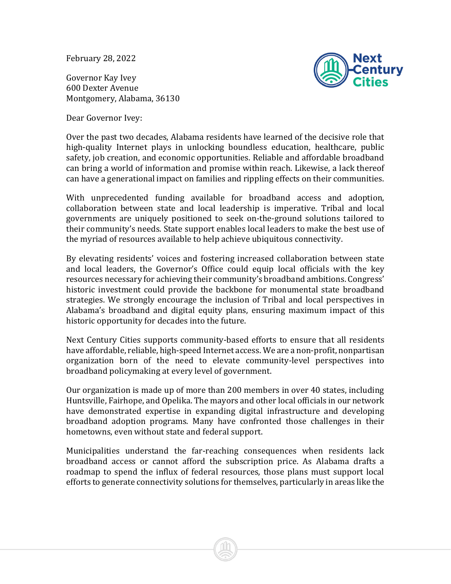February 28, 2022

Governor Kay Ivey 600 Dexter Avenue Montgomery, Alabama, 36130



Dear Governor Ivey:

Over the past two decades, Alabama residents have learned of the decisive role that high-quality Internet plays in unlocking boundless education, healthcare, public safety, job creation, and economic opportunities. Reliable and affordable broadband can bring a world of information and promise within reach. Likewise, a lack thereof can have a generational impact on families and rippling effects on their communities.

With unprecedented funding available for broadband access and adoption, collaboration between state and local leadership is imperative. Tribal and local governments are uniquely positioned to seek on-the-ground solutions tailored to their community's needs. State support enables local leaders to make the best use of the myriad of resources available to help achieve ubiquitous connectivity.

By elevating residents' voices and fostering increased collaboration between state and local leaders, the Governor's Office could equip local officials with the key resources necessary for achieving their community's broadband ambitions. Congress' historic investment could provide the backbone for monumental state broadband strategies. We strongly encourage the inclusion of Tribal and local perspectives in Alabama's broadband and digital equity plans, ensuring maximum impact of this historic opportunity for decades into the future.

Next Century Cities supports community-based efforts to ensure that all residents have affordable, reliable, high-speed Internet access. We are a non-profit, nonpartisan organization born of the need to elevate community-level perspectives into broadband policymaking at every level of government.

Our organization is made up of more than 200 members in over 40 states, including Huntsville, Fairhope, and Opelika. The mayors and other local officials in our network have demonstrated expertise in expanding digital infrastructure and developing broadband adoption programs. Many have confronted those challenges in their hometowns, even without state and federal support.

Municipalities understand the far-reaching consequences when residents lack broadband access or cannot afford the subscription price. As Alabama drafts a roadmap to spend the influx of federal resources, those plans must support local efforts to generate connectivity solutions for themselves, particularly in areas like the